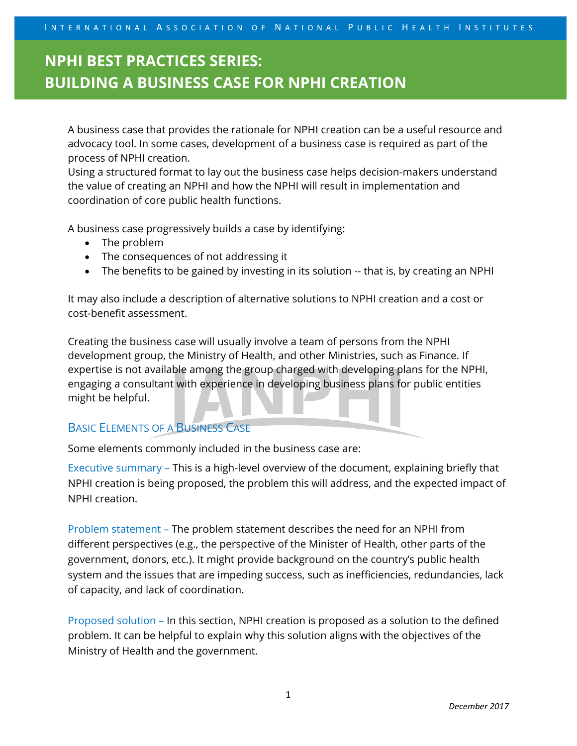IN TERNATIONAL ASSOCIATION OF NATIONAL PUBLIC HEALTH INSTITUTES

# **NPHI BEST PRACTICES SERIES: BUILDING A BUSINESS CASE FOR NPHI CREATION**

A business case that provides the rationale for NPHI creation can be a useful resource and advocacy tool. In some cases, development of a business case is required as part of the process of NPHI creation.

Using a structured format to lay out the business case helps decision-makers understand the value of creating an NPHI and how the NPHI will result in implementation and coordination of core public health functions.

A business case progressively builds a case by identifying:

- The problem
- The consequences of not addressing it
- The benefits to be gained by investing in its solution -- that is, by creating an NPHI

It may also include a description of alternative solutions to NPHI creation and a cost or cost-benefit assessment.

Creating the business case will usually involve a team of persons from the NPHI development group, the Ministry of Health, and other Ministries, such as Finance. If expertise is not available among the group charged with developing plans for the NPHI, engaging a consultant with experience in developing business plans for public entities might be helpful.

### BASIC ELEMENTS OF A BUSINESS CASE

Some elements commonly included in the business case are:

Executive summary – This is a high-level overview of the document, explaining briefly that NPHI creation is being proposed, the problem this will address, and the expected impact of NPHI creation.

Problem statement – The problem statement describes the need for an NPHI from different perspectives (e.g., the perspective of the Minister of Health, other parts of the government, donors, etc.). It might provide background on the country's public health system and the issues that are impeding success, such as inefficiencies, redundancies, lack of capacity, and lack of coordination.

Proposed solution – In this section, NPHI creation is proposed as a solution to the defined problem. It can be helpful to explain why this solution aligns with the objectives of the Ministry of Health and the government.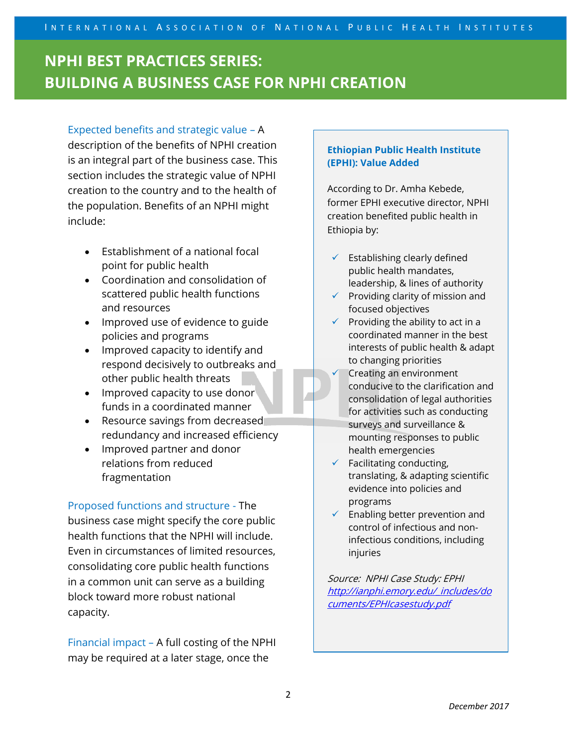# **NPHI BEST PRACTICES SERIES: BUILDING A BUSINESS CASE FOR NPHI CREATION**

### Expected benefits and strategic value – A

description of the benefits of NPHI creation is an integral part of the business case. This section includes the strategic value of NPHI creation to the country and to the health of the population. Benefits of an NPHI might include:

- Establishment of a national focal point for public health
- Coordination and consolidation of scattered public health functions and resources
- Improved use of evidence to guide policies and programs
- Improved capacity to identify and respond decisively to outbreaks and other public health threats
- Improved capacity to use donor funds in a coordinated manner
- Resource savings from decreased redundancy and increased efficiency
- Improved partner and donor relations from reduced fragmentation

Proposed functions and structure - The business case might specify the core public health functions that the NPHI will include. Even in circumstances of limited resources, consolidating core public health functions in a common unit can serve as a building block toward more robust national capacity.

Financial impact – A full costing of the NPHI may be required at a later stage, once the

#### **Ethiopian Public Health Institute (EPHI): Value Added**

According to Dr. Amha Kebede, former EPHI executive director, NPHI creation benefited public health in Ethiopia by:

- $\checkmark$  Establishing clearly defined public health mandates, leadership, & lines of authority
- $\checkmark$  Providing clarity of mission and focused objectives
- $\checkmark$  Providing the ability to act in a coordinated manner in the best interests of public health & adapt to changing priorities
- Creating an environment conducive to the clarification and consolidation of legal authorities for activities such as conducting surveys and surveillance & mounting responses to public health emergencies
- $\checkmark$  Facilitating conducting, translating, & adapting scientific evidence into policies and programs
- $\checkmark$  Enabling better prevention and control of infectious and noninfectious conditions, including injuries

Source: NPHI Case Study: EPHI http://ianphi.emory.edu/ includes/do [cuments/EPHIcasestudy.pdf](http://ianphi.emory.edu/_includes/documents/EPHIcasestudy.pdf)